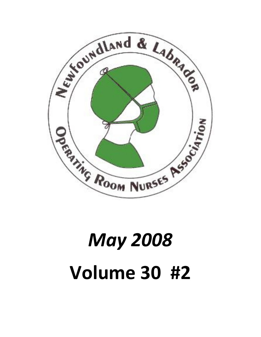

# May 2008 Volume 30 #2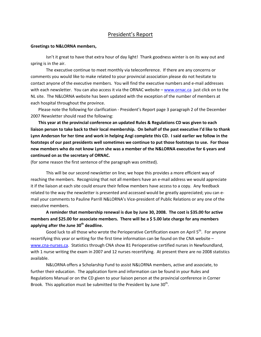#### President's Report

#### Greetings to N&LORNA members,

Isn't it great to have that extra hour of day light! Thank goodness winter is on its way out and spring is in the air.

The executive continue to meet monthly via teleconference. If there are any concerns or comments you would like to make related to your provincial association please do not hesitate to contact anyone of the executive members. You will find the executive numbers and e-mail addresses with each newsletter. You can also access it via the ORNAC website – www.ornac.ca just click on to the NL site. The N&LORNA website has been updated with the exception of the number of members at each hospital throughout the province.

Please note the following for clarification - President's Report page 3 paragraph 2 of the December 2007 Newsletter should read the following:

This year at the provincial conference an updated Rules & Regulations CD was given to each liaison person to take back to their local membership. On behalf of the past executive I'd like to thank Lynn Anderson for her time and work in helping Angi complete this CD. I said earlier we follow in the footsteps of our past presidents well sometimes we continue to put those footsteps to use. For those new members who do not know Lynn she was a member of the N&LORNA executive for 6 years and continued on as the secretary of ORNAC.

(for some reason the first sentence of the paragraph was omitted).

This will be our second newsletter on line; we hope this provides a more efficient way of reaching the members. Recognizing that not all members have an e-mail address we would appreciate it if the liaison at each site could ensure their fellow members have access to a copy. Any feedback related to the way the newsletter is presented and accessed would be greatly appreciated; you can email your comments to Pauline Parrill N&LORNA's Vice-president of Public Relations or any one of the executive members.

A reminder that membership renewal is due by June 30, 2008. The cost is \$35.00 for active members and \$25.00 for associate members. There will be a \$ 5.00 late charge for any members applying after the June  $30<sup>th</sup>$  deadline.

Good luck to all those who wrote the Perioperative Certification exam on April  $5<sup>th</sup>$ . For anyone recertifying this year or writing for the first time information can be found on the CNA website – www.cna-nurses.ca. Statistics through CNA show 81 Perioperative certified nurses in Newfoundland, with 1 nurse writing the exam in 2007 and 12 nurses recertifying. At present there are no 2008 statistics available.

N&LORNA offers a Scholarship Fund to assist N&LORNA members, active and associate, to further their education. The application form and information can be found in your Rules and Regulations Manual or on the CD given to your liaison person at the provincial conference in Corner Brook. This application must be submitted to the President by June  $30<sup>th</sup>$ .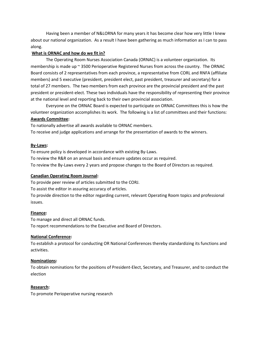Having been a member of N&LORNA for many years it has become clear how very little I knew about our national organization. As a result I have been gathering as much information as I can to pass along.

#### What is ORNAC and how do we fit in?

The Operating Room Nurses Association Canada (ORNAC) is a volunteer organization. Its membership is made up ~ 3500 Perioperative Registered Nurses from across the country. The ORNAC Board consists of 2 representatives from each province, a representative from CORL and RNFA (affiliate members) and 5 executive (president, president elect, past president, treasurer and secretary) for a total of 27 members. The two members from each province are the provincial president and the past president or president-elect. These two individuals have the responsibility of representing their province at the national level and reporting back to their own provincial association.

Everyone on the ORNAC Board is expected to participate on ORNAC Committees this is how the volunteer organization accomplishes its work. The following is a list of committees and their functions: Awards Committee:

To nationally advertise all awards available to ORNAC members.

To receive and judge applications and arrange for the presentation of awards to the winners.

#### By-Laws:

To ensure policy is developed in accordance with existing By-Laws.

To review the R&R on an annual basis and ensure updates occur as required.

To review the By-Laws every 2 years and propose changes to the Board of Directors as required.

#### Canadian Operating Room Journal:

To provide peer review of articles submitted to the CORJ.

To assist the editor in assuring accuracy of articles.

To provide direction to the editor regarding current, relevant Operating Room topics and professional issues.

#### Finance:

To manage and direct all ORNAC funds. To report recommendations to the Executive and Board of Directors.

#### National Conference:

To establish a protocol for conducting OR National Conferences thereby standardizing its functions and activities.

#### Nominations:

To obtain nominations for the positions of President-Elect, Secretary, and Treasurer, and to conduct the election

#### Research:

To promote Perioperative nursing research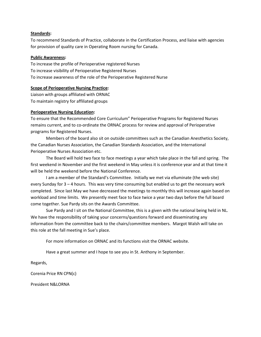#### Standards:

To recommend Standards of Practice, collaborate in the Certification Process, and liaise with agencies for provision of quality care in Operating Room nursing for Canada.

#### Public Awareness:

To increase the profile of Perioperative registered Nurses To increase visibility of Perioperative Registered Nurses To increase awareness of the role of the Perioperative Registered Nurse

#### Scope of Perioperative Nursing Practice:

Liaison with groups affiliated with ORNAC To maintain registry for affiliated groups

#### Perioperative Nursing Education:

To ensure that the Recommended Core Curriculum" Perioperative Programs for Registered Nurses remains current, and to co-ordinate the ORNAC process for review and approval of Perioperative programs for Registered Nurses.

Members of the board also sit on outside committees such as the Canadian Anesthetics Society, the Canadian Nurses Association, the Canadian Standards Association, and the International Perioperative Nurses Association etc.

The Board will hold two face to face meetings a year which take place in the fall and spring. The first weekend in November and the first weekend in May unless it is conference year and at that time it will be held the weekend before the National Conference.

I am a member of the Standard's Committee. Initially we met via elluminate (the web site) every Sunday for 3 – 4 hours. This was very time consuming but enabled us to get the necessary work completed. Since last May we have decreased the meetings to monthly this will increase again based on workload and time limits. We presently meet face to face twice a year two days before the full board come together. Sue Pardy sits on the Awards Committee.

Sue Pardy and I sit on the National Committee, this is a given with the national being held in NL. We have the responsibility of taking your concerns/questions forward and disseminating any information from the committee back to the chairs/committee members. Margot Walsh will take on this role at the fall meeting in Sue's place.

For more information on ORNAC and its functions visit the ORNAC website.

Have a great summer and I hope to see you in St. Anthony in September.

Regards,

Corenia Price RN CPN(c)

President N&LORNA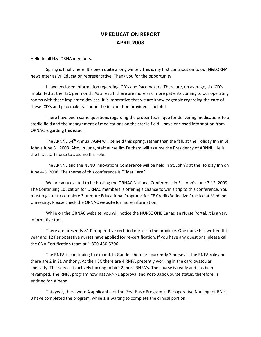#### VP EDUCATION REPORT APRIL 2008

Hello to all N&LORNA members,

 Spring is finally here. It's been quite a long winter. This is my first contribution to our N&LORNA newsletter as VP Education representative. Thank you for the opportunity.

 I have enclosed information regarding ICD's and Pacemakers. There are, on average, six ICD's implanted at the HSC per month. As a result, there are more and more patients coming to our operating rooms with these implanted devices. It is imperative that we are knowledgeable regarding the care of these ICD's and pacemakers. I hope the information provided is helpful.

 There have been some questions regarding the proper technique for delivering medications to a sterile field and the management of medications on the sterile field. I have enclosed information from ORNAC regarding this issue.

The ARNNL 54<sup>th</sup> Annual AGM will be held this spring, rather than the fall, at the Holiday Inn in St. John's June 3<sup>rd</sup> 2008. Also, in June, staff nurse Jim Feltham will assume the Presidency of ARNNL. He is the first staff nurse to assume this role.

 The ARNNL and the NLNU Innovations Conference will be held in St. John's at the Holiday Inn on June 4-5, 2008. The theme of this conference is "Elder Care".

 We are very excited to be hosting the ORNAC National Conference in St. John's June 7-12, 2009. The Continuing Education for ORNAC members is offering a chance to win a trip to this conference. You must register to complete 3 or more Educational Programs for CE Credit/Reflective Practice at Medline University. Please check the ORNAC website for more information.

 While on the ORNAC website, you will notice the NURSE ONE Canadian Nurse Portal. It is a very informative tool.

 There are presently 81 Perioperative certified nurses in the province. One nurse has written this year and 12 Perioperative nurses have applied for re-certification. If you have any questions, please call the CNA Certification team at 1-800-450-5206.

 The RNFA is continuing to expand. In Gander there are currently 3 nurses in the RNFA role and there are 2 in St. Anthony. At the HSC there are 4 RNFA presently working in the cardiovascular specialty. This service is actively looking to hire 2 more RNFA's. The course is ready and has been revamped. The RNFA program now has ARNNL approval and Post-Basic Course status, therefore, is entitled for stipend.

 This year, there were 4 applicants for the Post-Basic Program in Perioperative Nursing for RN's. 3 have completed the program, while 1 is waiting to complete the clinical portion.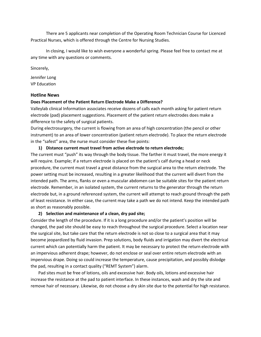There are 5 applicants near completion of the Operating Room Technician Course for Licenced Practical Nurses, which is offered through the Centre for Nursing Studies.

 In closing, I would like to wish everyone a wonderful spring. Please feel free to contact me at any time with any questions or comments.

Sincerely,

Jennifer Long VP Education

#### Hotline News

#### Does Placement of the Patient Return Electrode Make a Difference?

Valleylab clinical Information associates receive dozens of calls each month asking for patient return electrode (pad) placement suggestions. Placement of the patient return electrodes does make a difference to the safety of surgical patients.

During electrosurgery, the current is flowing from an area of high concentration (the pencil or other instrument) to an area of lower concentration (patient return electrode). To place the return electrode in the "safest" area, the nurse must consider these five points:

#### 1) Distance current must travel from active electrode to return electrode;

The current must "push" its way through the body tissue. The farther it must travel, the more energy it will require. Example; if a return electrode is placed on the patient's calf during a head or neck procedure, the current must travel a great distance from the surgical area to the return electrode. The power setting must be increased, resulting in a greater likelihood that the current will divert from the intended path. The arms, flanks or even a muscular abdomen can be suitable sites for the patient return electrode. Remember, in an isolated system, the current returns to the generator through the return electrode but, in a ground referenced system, the current will attempt to reach ground through the path of least resistance. In either case, the current may take a path we do not intend. Keep the intended path as short as reasonably possible.

#### 2) Selection and maintenance of a clean, dry pad site;

Consider the length of the procedure. If it is a long procedure and/or the patient's position will be changed, the pad site should be easy to reach throughout the surgical procedure. Select a location near the surgical site, but take care that the return electrode is not so close to a surgical area that it may become jeopardized by fluid invasion. Prep solutions, body fluids and irrigation may divert the electrical current which can potentially harm the patient. It may be necessary to protect the return electrode with an impervious adherent drape; however, do not enclose or seal over entire return electrode with an impervious drape. Doing so could increase the temperature, cause precipitation, and possibly dislodge the pad, resulting in a contact quality ("REMT System") alarm.

Pad sites must be free of lotions, oils and excessive hair. Body oils, lotions and excessive hair increase the resistance at the pad to patient interface. In these instances, wash and dry the site and remove hair of necessary. Likewise, do not choose a dry skin site due to the potential for high resistance.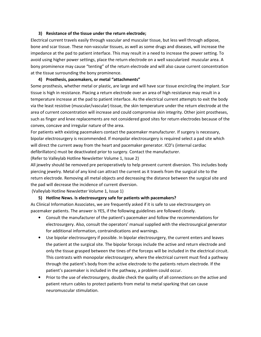#### 3) Resistance of the tissue under the return electrode;

Electrical current travels easily through vascular and muscular tissue, but less well through adipose, bone and scar tissue. These non-vascular tissues, as well as some drugs and diseases, will increase the impedance at the pad to patient interface. This may result in a need to increase the power setting. To avoid using higher power settings, place the return electrode on a well vascularized muscular area. A bony prominence may cause "tenting" of the return electrode and will also cause current concentration at the tissue surrounding the bony prominence.

#### 4) Prosthesis, pacemakers, or metal "attachments"

Some prosthesis, whether metal or plastic, are large and will have scar tissue encircling the implant. Scar tissue is high in resistance. Placing a return electrode over an area of high resistance may result in a temperature increase at the pad to patient interface. As the electrical current attempts to exit the body via the least resistive (muscular/vascular) tissue, the skin temperature under the return electrode at the area of current concentration will increase and could compromise skin integrity. Other joint prostheses, such as finger and knee replacements are not considered good sites for return electrodes because of the convex, concave and irregular nature of the area.

For patients with existing pacemakers contact the pacemaker manufacturer. If surgery is necessary, bipolar electrosurgery is recommended. If monpolar electrosurgery is required select a pad site which will direct the current away from the heart and pacemaker generator. ICD's (internal cardiac defibrillators) must be deactivated prior to surgery. Contact the manufacturer.

(Refer to Valleylab Hotline Newsletter Volume 1, Issue 2)

All jewelry should be removed pre perioperatively to help prevent current diversion. This includes body piercing jewelry. Metal of any kind can attract the current as it travels from the surgical site to the return electrode. Removing all metal objects and decreasing the distance between the surgical site and the pad will decrease the incidence of current diversion.

(Valleylab Hotline Newsletter Volume 1, Issue 1)

#### 5) Hotline News. Is electrosurgery safe for patients with pacemakers?

As Clinical Information Associates, we are frequently asked if it is safe to use electrosurgery on pacemaker patients. The answer is YES, if the following guidelines are followed closely.

- Consult the manufacturer of the patient's pacemaker and follow the recommendations for electrosurgery. Also, consult the operators' manual supplied with the electrosurgical generator for additional information, contraindications and warnings.
- Use bipolar electrosurgery if possible. In bipolar electrosurgery, the current enters and leaves the patient at the surgical site. The bipolar forceps include the active and return electrode and only the tissue grasped between the tines of the forceps will be included in the electrical circuit. This contrasts with monopolar electrosurgery, where the electrical current must find a pathway through the patient's body from the active electrode to the patients return electrode. If the patient's pacemaker is included in the pathway, a problem could occur.
- Prior to the use of electrosurgery, double check the quality of all connections on the active and patient return cables to protect patients from metal to metal sparking that can cause neuromuscular stimulation.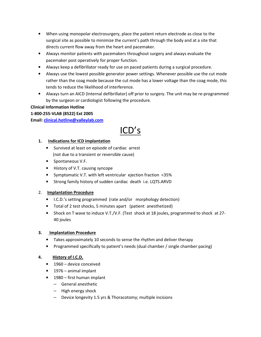- When using monopolar electrosurgery, place the patient return electrode as close to the surgical site as possible to minimize the current's path through the body and at a site that directs current flow away from the heart and pacemaker.
- Always monitor patients with pacemakers throughout surgery and always evaluate the pacemaker post operatively for proper function.
- Always keep a defibrillator ready for use on paced patients during a surgical procedure.
- Always use the lowest possible generator power settings. Whenever possible use the cut mode rather than the coag mode because the cut mode has a lower voltage than the coag mode, this tends to reduce the likelihood of interference.
- Always turn an AICD (Internal defibrillator) off prior to surgery. The unit may be re-programmed by the surgeon or cardiologist following the procedure.

#### Clinical Information Hotline

#### 1-800-255-VLAB (8522) Ext 2005

Email: clinical.hotline@valleylab.com

# ICD's

#### 1. Indications for ICD implantation

- Survived at least on episode of cardiac arrest (not due to a transient or reversible cause)
- Spontaneous V.F.
- History of V.T. causing syncope
- Symptomatic V.T. with left ventricular ejection fraction <35%
- Strong family history of sudden cardiac death i.e. LQTS.ARVD

#### 2. Implantation Procedure

- I.C.D.'s setting programmed (rate and/or morphology detection)
- Total of 2 test shocks, 5 minutes apart (patient anesthetized)
- Shock on T wave to induce V.T./V.F. (Test shock at 18 joules, programmed to shock at 27- 40 joules

#### 3. Implantation Procedure

- Takes approximately 10 seconds to sense the rhythm and deliver therapy
- Programmed specifically to patient's needs (dual chamber / single chamber pacing)

#### 4. History of I.C.D.

- 1960 device conceived
- 1976 animal implant
- 1980 first human implant
	- General anesthetic
	- High energy shock
	- Device longevity 1.5 yrs & Thoracotomy; multiple incisions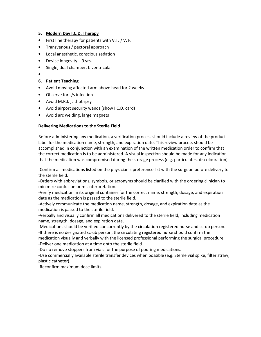#### 5. Modern Day I.C.D. Therapy

- First line therapy for patients with V.T. / V. F.
- Transvenous / pectoral approach
- Local anesthetic, conscious sedation
- Device longevity 9 yrs.
- Single, dual chamber, biventricular
- •

#### 6. Patient Teaching

- Avoid moving affected arm above head for 2 weeks
- Observe for s/s infection
- Avoid M.R.I. ,Lithotripsy
- Avoid airport security wands (show I.C.D. card)
- Avoid arc welding, large magnets

#### Delivering Medications to the Sterile Field

Before administering any medication, a verification process should include a review of the product label for the medication name, strength, and expiration date. This review process should be accomplished in conjunction with an examination of the written medication order to confirm that the correct medication is to be administered. A visual inspection should be made for any indication that the medication was compromised during the storage process (e.g. particulates, discolouration).

-Confirm all medications listed on the physician's preference list with the surgeon before delivery to the sterile field.

-Orders with abbreviations, symbols, or acronyms should be clarified with the ordering clinician to minimize confusion or misinterpretation.

-Verify medication in its original container for the correct name, strength, dosage, and expiration date as the medication is passed to the sterile field.

-Actively communicate the medication name, strength, dosage, and expiration date as the medication is passed to the sterile field.

-Verbally and visually confirm all medications delivered to the sterile field, including medication name, strength, dosage, and expiration date.

-Medications should be verified concurrently by the circulation registered nurse and scrub person.

-If there is no designated scrub person, the circulating registered nurse should confirm the medication visually and verbally with the licensed professional performing the surgical procedure. -Deliver one medication at a time onto the sterile field.

-Do no remove stoppers from vials for the purpose of pouring medications.

-Use commercially available sterile transfer devices when possible (e.g. Sterile vial spike, filter straw, plastic catheter).

-Reconfirm maximum dose limits.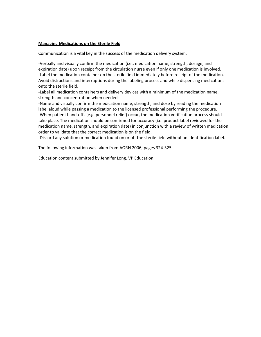#### Managing Medications on the Sterile Field

Communication is a vital key in the success of the medication delivery system.

-Verbally and visually confirm the medication (i.e., medication name, strength, dosage, and expiration date) upon receipt from the circulation nurse even if only one medication is involved. -Label the medication container on the sterile field immediately before receipt of the medication. Avoid distractions and interruptions during the labeling process and while dispensing medications onto the sterile field.

-Label all medication containers and delivery devices with a minimum of the medication name, strength and concentration when needed.

-Name and visually confirm the medication name, strength, and dose by reading the medication label aloud while passing a medication to the licensed professional performing the procedure. -When patient hand-offs (e.g. personnel relief) occur, the medication verification process should take place. The medication should be confirmed for accuracy (i.e. product label reviewed for the medication name, strength, and expiration date) in conjunction with a review of written medication order to validate that the correct medication is on the field.

-Discard any solution or medication found on or off the sterile field without an identification label.

The following information was taken from AORN 2006, pages 324-325.

Education content submitted by Jennifer Long. VP Education.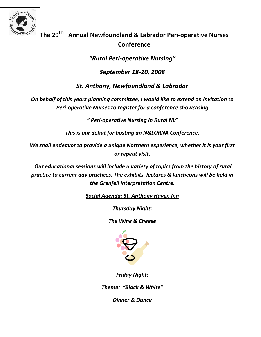

# The 29<sup>th</sup> Annual Newfoundland & Labrador Peri-operative Nurses **Conference**

"Rural Peri-operative Nursing"

September 18-20, 2008

St. Anthony, Newfoundland & Labrador

On behalf of this years planning committee, I would like to extend an invitation to Peri-operative Nurses to register for a conference showcasing

" Peri-operative Nursing In Rural NL"

This is our debut for hosting an N&LORNA Conference.

We shall endeavor to provide a unique Northern experience, whether it is your first or repeat visit.

 Our educational sessions will include a variety of topics from the history of rural practice to current day practices. The exhibits, lectures & luncheons will be held in the Grenfell Interpretation Centre.

Social Agenda: St. Anthony Haven Inn

Thursday Night:

The Wine & Cheese



Friday Night:

Theme: "Black & White"

Dinner & Dance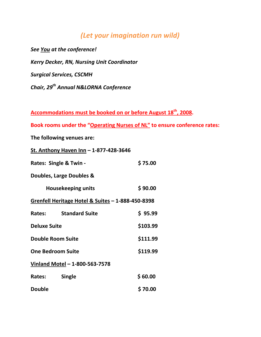# (Let your imagination run wild)

See You at the conference! Kerry Decker, RN, Nursing Unit Coordinator Surgical Services, CSCMH Chair, 29<sup>th</sup> Annual N&LORNA Conference

Accommodations must be booked on or before August 18<sup>th</sup>, 2008.

Book rooms under the "Operating Nurses of NL" to ensure conference rates:

The following venues are:

St. Anthony Haven Inn – 1-877-428-3646

| Rates: Single & Twin -                                       |                       | \$75.00  |  |  |
|--------------------------------------------------------------|-----------------------|----------|--|--|
| Doubles, Large Doubles &                                     |                       |          |  |  |
| <b>Housekeeping units</b>                                    |                       | \$90.00  |  |  |
| <u>Grenfell Heritage Hotel &amp; Suites – 1-888-450-8398</u> |                       |          |  |  |
| Rates:                                                       | <b>Standard Suite</b> | \$95.99  |  |  |
| <b>Deluxe Suite</b>                                          |                       | \$103.99 |  |  |
| <b>Double Room Suite</b>                                     |                       | \$111.99 |  |  |
| <b>One Bedroom Suite</b>                                     |                       | \$119.99 |  |  |
| Vinland Motel - 1-800-563-7578                               |                       |          |  |  |
| Rates:                                                       | <b>Single</b>         | \$60.00  |  |  |
| <b>Double</b>                                                |                       | \$70.00  |  |  |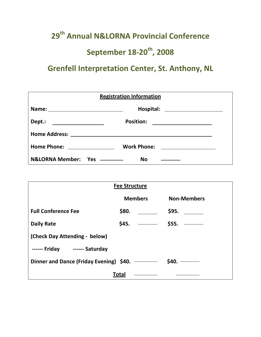# 29<sup>th</sup> Annual N&LORNA Provincial Conference September  $18-20^{th}$ , 2008

# Grenfell Interpretation Center, St. Anthony, NL

| <b>Registration Information</b>         |                                                                                                                                                                                                                                                          |  |  |
|-----------------------------------------|----------------------------------------------------------------------------------------------------------------------------------------------------------------------------------------------------------------------------------------------------------|--|--|
|                                         |                                                                                                                                                                                                                                                          |  |  |
| Dept.:                                  | <b>Position:</b><br><u> The Common State of the Common State of the Common State of the Common State of the Common State of the Common State of the Common State of the Common State of the Common State of the Common State of the Common State of </u> |  |  |
|                                         |                                                                                                                                                                                                                                                          |  |  |
| Home Phone: <u>____________________</u> | <b>Work Phone:</b><br><u> 1980 - Andrea Station Barbara, prins</u>                                                                                                                                                                                       |  |  |
|                                         | No                                                                                                                                                                                                                                                       |  |  |

| <b>Fee Structure</b>                                |                |                    |  |  |
|-----------------------------------------------------|----------------|--------------------|--|--|
|                                                     | <b>Members</b> | <b>Non-Members</b> |  |  |
| <b>Full Conference Fee</b>                          | \$80.          | \$95.              |  |  |
| <b>Daily Rate</b>                                   | \$45.          | \$55.              |  |  |
| (Check Day Attending - below)                       |                |                    |  |  |
| ------ Friday ------ Saturday                       |                |                    |  |  |
| \$40.<br>Dinner and Dance (Friday Evening) $$40.$ – |                |                    |  |  |
|                                                     | Total          |                    |  |  |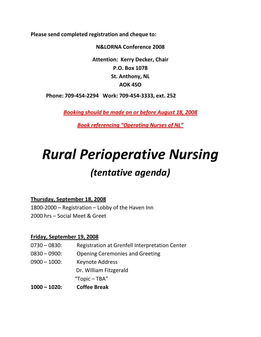Please send completed registration and cheque to:

N&LORNA Conference 2008

Attention: Kerry Decker, Chair P.O. Box 1078 St. Anthony, NL AOK 4SO

Phone: 709-454-2294 Work: 709-454-3333, ext. 252

Booking should be made on or before August 18, 2008

Book referencing "Operating Nurses of NL"

# Rural Perioperative Nursing (tentative agenda)

Thursday, September 18, 2008

1800-2000 – Registration – Lobby of the Haven Inn 2000 hrs – Social Meet & Greet

#### Friday, September 19, 2008

0730 – 0830: Registration at Grenfell Interpretation Center 0830 – 0900: Opening Ceremonies and Greeting 0900 – 1000: Keynote Address Dr. William Fitzgerald "Topic – TBA"

1000 – 1020: Coffee Break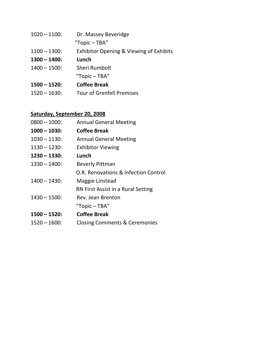| $1020 - 1100$ : | Dr. Massey Beveridge                               |
|-----------------|----------------------------------------------------|
|                 | "Topic $-$ TBA"                                    |
| $1100 - 1300$ : | <b>Exhibitor Opening &amp; Viewing of Exhibits</b> |
| $1300 - 1400$ : | Lunch                                              |
| $1400 - 1500$ : | Sheri Rumbolt                                      |
|                 | "Topic $-$ TBA"                                    |
| $1500 - 1520$ : | <b>Coffee Break</b>                                |
| $1520 - 1630$   | <b>Tour of Grenfell Premises</b>                   |

## Saturday, September 20, 2008

| $0800 - 1000$ : | <b>Annual General Meeting</b>            |
|-----------------|------------------------------------------|
| $1000 - 1030$ : | <b>Coffee Break</b>                      |
| $1030 - 1130$ : | <b>Annual General Meeting</b>            |
| $1130 - 1230$ : | <b>Exhibitor Viewing</b>                 |
| $1230 - 1330:$  | Lunch                                    |
| $1330 - 1400$ : | <b>Beverly Pittman</b>                   |
|                 | O.R. Renovations & Infection Control     |
| $1400 - 1430$ : | Maggie Linstead                          |
|                 | RN First Assist in a Rural Setting       |
| $1430 - 1500$ : | Rev. Jean Brenton                        |
|                 | "Topic $-$ TBA"                          |
| $1500 - 1520$ : | <b>Coffee Break</b>                      |
| $1520 - 1600$ : | <b>Closing Comments &amp; Ceremonies</b> |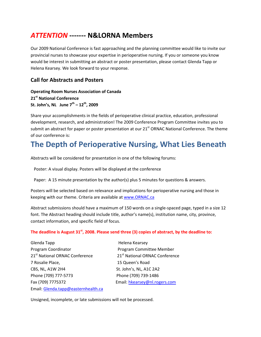# ATTENTION ------- N&LORNA Members

Our 2009 National Conference is fast approaching and the planning committee would like to invite our provincial nurses to showcase your expertise in perioperative nursing. If you or someone you know would be interest in submitting an abstract or poster presentation, please contact Glenda Tapp or Helena Kearsey. We look forward to your response.

#### Call for Abstracts and Posters

Operating Room Nurses Association of Canada 21st National Conference St. John's, NL June  $7^{th} - 12^{th}$ , 2009

Share your accomplishments in the fields of perioperative clinical practice, education, professional development, research, and administration! The 2009 Conference Program Committee invites you to submit an abstract for paper or poster presentation at our 21<sup>st</sup> ORNAC National Conference. The theme of our conference is:

# The Depth of Perioperative Nursing, What Lies Beneath

Abstracts will be considered for presentation in one of the following forums:

Poster: A visual display. Posters will be displayed at the conference

Paper: A 15 minute presentation by the author(s) plus 5 minutes for questions & answers.

Posters will be selected based on relevance and implications for perioperative nursing and those in keeping with our theme. Criteria are available at www.ORNAC.ca

Abstract submissions should have a maximum of 150 words on a single-spaced page, typed in a size 12 font. The Abstract heading should include title, author's name(s), institution name, city, province, contact information, and specific field of focus.

#### The deadline is August  $31<sup>st</sup>$ , 2008. Please send three (3) copies of abstract, by the deadline to:

Glenda Tapp **Helena** Kearsey Program Coordinator **Program Committee Member** 21<sup>st</sup> National ORNAC Conference 21<sup>st</sup> National ORNAC Conference 7 Rosalie Place, 15 Queen's Road CBS, NL, A1W 2H4 St. John's, NL, A1C 2A2 Phone (709) 777-5773 Phone (709) 739-1486 Fax (709) 7775372 Email: hkearsey@nl.rogers.com Email: Glenda.tapp@easternhealth.ca

Unsigned, incomplete, or late submissions will not be processed.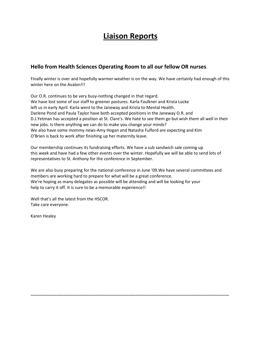# Liaison Reports

#### Hello from Health Sciences Operating Room to all our fellow OR nurses.

Finally winter is over and hopefully warmer weather is on the way. We have certainly had enough of this winter here on the Avalon!!!

Our O.R. continues to be very busy-nothing changed in that regard. We have lost some of our staff to greener pastures. Karla Faulkner and Krista Locke left us in early April. Karla went to the Janeway and Krista to Mental Health. Darlene Pond and Paula Taylor have both accepted positions in the Janeway O.R. and D.J.Yetman has accepted a position at St. Clare's. We hate to see them go but wish them all well in their new jobs. Is there anything we can do to make you change your minds? We also have some mommy news-Amy Hogan and Natasha Fulford are expecting and Kim O'Brien is back to work after finishing up her maternity leave.

Our membership continues its fundraising efforts. We have a sub sandwich sale coming up this week and have had a few other events over the winter. Hopefully we will be able to send lots of representatives to St. Anthony for the conference in September.

We are also busy preparing for the national conference in June '09.We have several committees and members are working hard to prepare for what will be a great conference. We're hoping as many delegates as possible will be attending and will be looking for your help to carry it off. It is sure to be a memorable experience!!

~~~~~~~~~~~~~~~~~~~~~~~~~~~~~~~~~~~~~~~~~~~~~~~~~~~~~~~~~~~~~~~~~~~~~~~~~~~~~~~~~~~~~

Well that's all the latest from the HSCOR. Take care everyone.

Karen Healey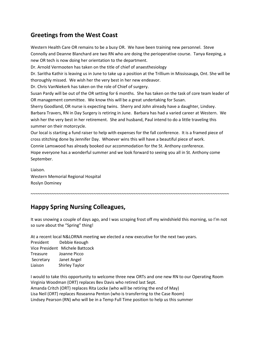### Greetings from the West Coast

Western Health Care OR remains to be a busy OR. We have been training new personnel. Steve Connolly and Deanne Blanchard are two RN who are doing the perioperative course. Tanya Keeping, a new OR tech is now doing her orientation to the department. Dr. Arnold Vermooten has taken on the title of chief of anaesthesiology Dr. Saritha Kathir is leaving us in June to take up a position at the Trillium in Mississauga, Ont. She will be thoroughly missed. We wish her the very best in her new endeavor. Dr. Chris VanNiekerk has taken on the role of Chief of surgery. Susan Pardy will be out of the OR setting for 6 months. She has taken on the task of core team leader of OR management committee. We know this will be a great undertaking for Susan. Sherry Goodland, OR nurse is expecting twins. Sherry and John already have a daughter, Lindsey. Barbara Travers, RN in Day Surgery is retiring in June. Barbara has had a varied career at Western. We wish her the very best in her retirement. She and husband, Paul intend to do a little traveling this summer on their motorcycle. Our local is starting a fund raiser to help with expenses for the fall conference. It is a framed piece of

cross stitching done by Jennifer Day. Whoever wins this will have a beautiful piece of work. Connie Lamswood has already booked our accommodation for the St. Anthony conference. Hope everyone has a wonderful summer and we look forward to seeing you all in St. Anthony come September.

Liaison. Western Memorial Regional Hospital Roslyn Dominey

### Happy Spring Nursing Colleagues,

It was snowing a couple of days ago, and I was scraping frost off my windshield this morning, so I'm not so sure about the "Spring" thing!

~~~~~~~~~~~~~~~~~~~~~~~~~~~~~~~~~~~~~~~~~~~~~~~~~~~~~~~~~~~~~~~~~~~~~~~~~~~~~~~~~~~~~

At a recent local N&LORNA meeting we elected a new executive for the next two years.

President Debbie Keough Vice President Michele Battcock Treasure Joanne Picco Secretary Janet Angel Liaison Shirley Taylor

I would to take this opportunity to welcome three new ORTs and one new RN to our Operating Room Virginia Woodman (ORT) replaces Bev Davis who retired last Sept. Amanda Critch (ORT) replaces Rita Locke (who will be retiring the end of May) Lisa Neil (ORT) replaces Roseanna Penton (who is transferring to the Case Room) Lindsey Pearson (RN) who will be in a Temp Full Time position to help us this summer